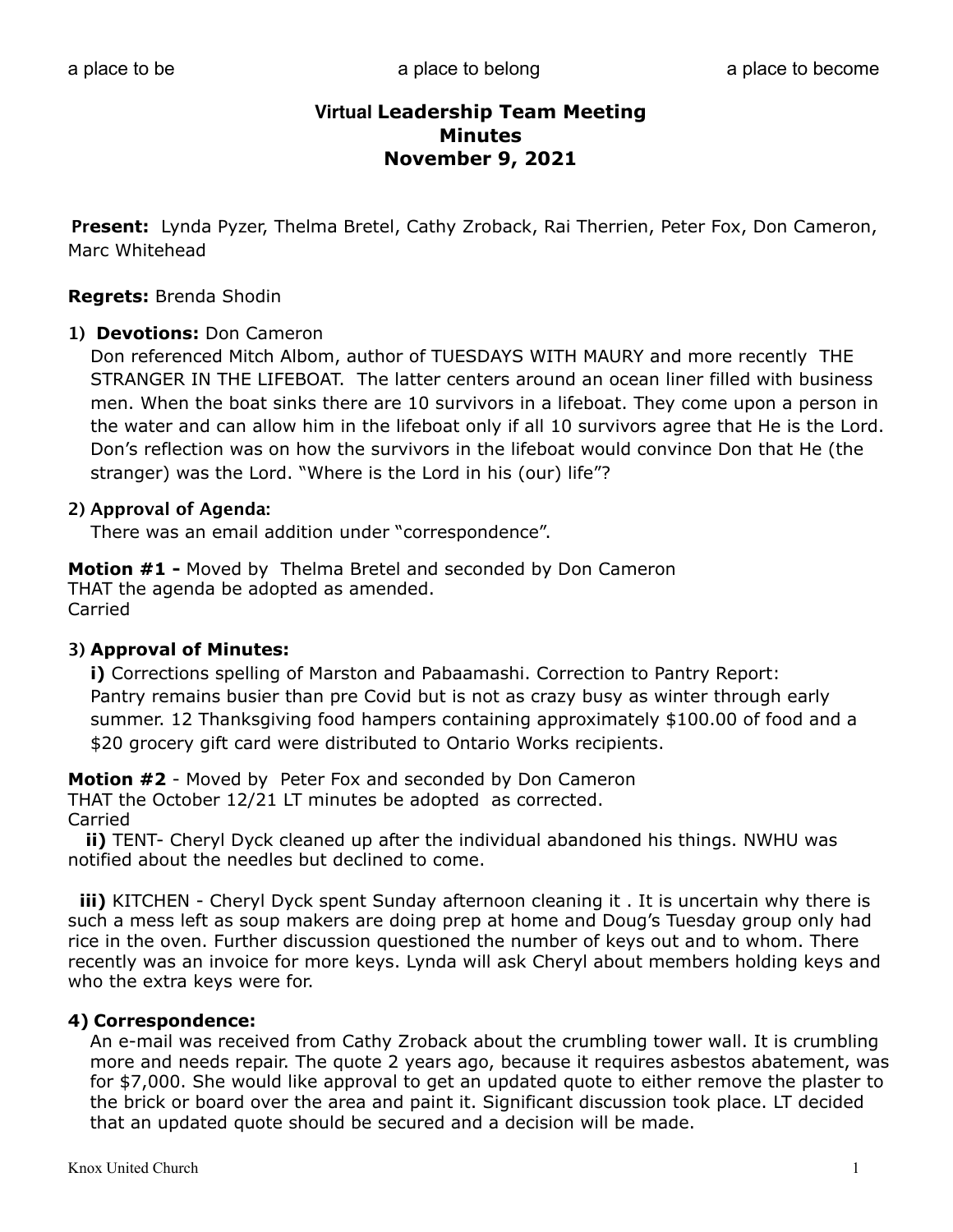**Present:** Lynda Pyzer, Thelma Bretel, Cathy Zroback, Rai Therrien, Peter Fox, Don Cameron, Marc Whitehead

#### **Regrets:** Brenda Shodin

#### **1) Devotions:** Don Cameron

Don referenced Mitch Albom, author of TUESDAYS WITH MAURY and more recently THE STRANGER IN THE LIFEBOAT. The latter centers around an ocean liner filled with business men. When the boat sinks there are 10 survivors in a lifeboat. They come upon a person in the water and can allow him in the lifeboat only if all 10 survivors agree that He is the Lord. Don's reflection was on how the survivors in the lifeboat would convince Don that He (the stranger) was the Lord. "Where is the Lord in his (our) life"?

#### **2) Approval of Agenda:**

There was an email addition under "correspondence".

**Motion #1 -** Moved by Thelma Bretel and seconded by Don Cameron THAT the agenda be adopted as amended. Carried

### **3) Approval of Minutes:**

**i)** Corrections spelling of Marston and Pabaamashi. Correction to Pantry Report: Pantry remains busier than pre Covid but is not as crazy busy as winter through early summer. 12 Thanksgiving food hampers containing approximately \$100.00 of food and a \$20 grocery gift card were distributed to Ontario Works recipients.

**Motion #2** - Moved by Peter Fox and seconded by Don Cameron

THAT the October 12/21 LT minutes be adopted as corrected. Carried

 **ii)** TENT- Cheryl Dyck cleaned up after the individual abandoned his things. NWHU was notified about the needles but declined to come.

 **iii)** KITCHEN - Cheryl Dyck spent Sunday afternoon cleaning it . It is uncertain why there is such a mess left as soup makers are doing prep at home and Doug's Tuesday group only had rice in the oven. Further discussion questioned the number of keys out and to whom. There recently was an invoice for more keys. Lynda will ask Cheryl about members holding keys and who the extra keys were for.

### **4) Correspondence:**

 An e-mail was received from Cathy Zroback about the crumbling tower wall. It is crumbling more and needs repair. The quote 2 years ago, because it requires asbestos abatement, was for \$7,000. She would like approval to get an updated quote to either remove the plaster to the brick or board over the area and paint it. Significant discussion took place. LT decided that an updated quote should be secured and a decision will be made.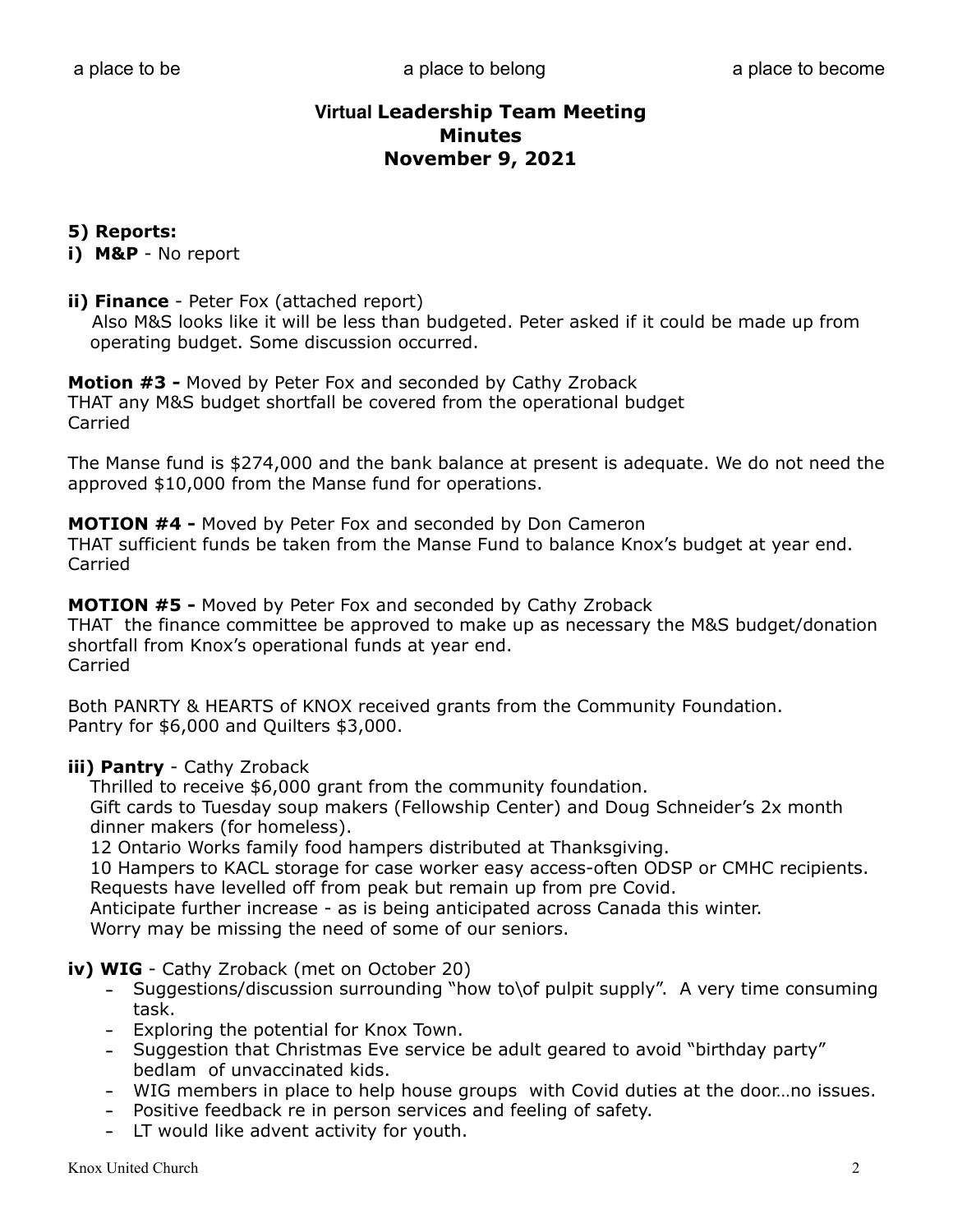## **5) Reports:**

**i) M&P** - No report

#### **ii) Finance** - Peter Fox (attached report)

 Also M&S looks like it will be less than budgeted. Peter asked if it could be made up from operating budget. Some discussion occurred.

**Motion #3 -** Moved by Peter Fox and seconded by Cathy Zroback THAT any M&S budget shortfall be covered from the operational budget Carried

The Manse fund is \$274,000 and the bank balance at present is adequate. We do not need the approved \$10,000 from the Manse fund for operations.

**MOTION #4 -** Moved by Peter Fox and seconded by Don Cameron

THAT sufficient funds be taken from the Manse Fund to balance Knox's budget at year end. Carried

**MOTION #5 -** Moved by Peter Fox and seconded by Cathy Zroback THAT the finance committee be approved to make up as necessary the M&S budget/donation shortfall from Knox's operational funds at year end. Carried

Both PANRTY & HEARTS of KNOX received grants from the Community Foundation. Pantry for \$6,000 and Quilters \$3,000.

### **iii) Pantry** - Cathy Zroback

 Thrilled to receive \$6,000 grant from the community foundation. Gift cards to Tuesday soup makers (Fellowship Center) and Doug Schneider's 2x month dinner makers (for homeless).

12 Ontario Works family food hampers distributed at Thanksgiving.

 10 Hampers to KACL storage for case worker easy access-often ODSP or CMHC recipients. Requests have levelled off from peak but remain up from pre Covid.

Anticipate further increase - as is being anticipated across Canada this winter.

Worry may be missing the need of some of our seniors.

### **iv) WIG** - Cathy Zroback (met on October 20)

- Suggestions/discussion surrounding "how to\of pulpit supply". A very time consuming task.
- Exploring the potential for Knox Town.
- Suggestion that Christmas Eve service be adult geared to avoid "birthday party" bedlam of unvaccinated kids.
- WIG members in place to help house groups with Covid duties at the door…no issues.
- Positive feedback re in person services and feeling of safety.
- LT would like advent activity for youth.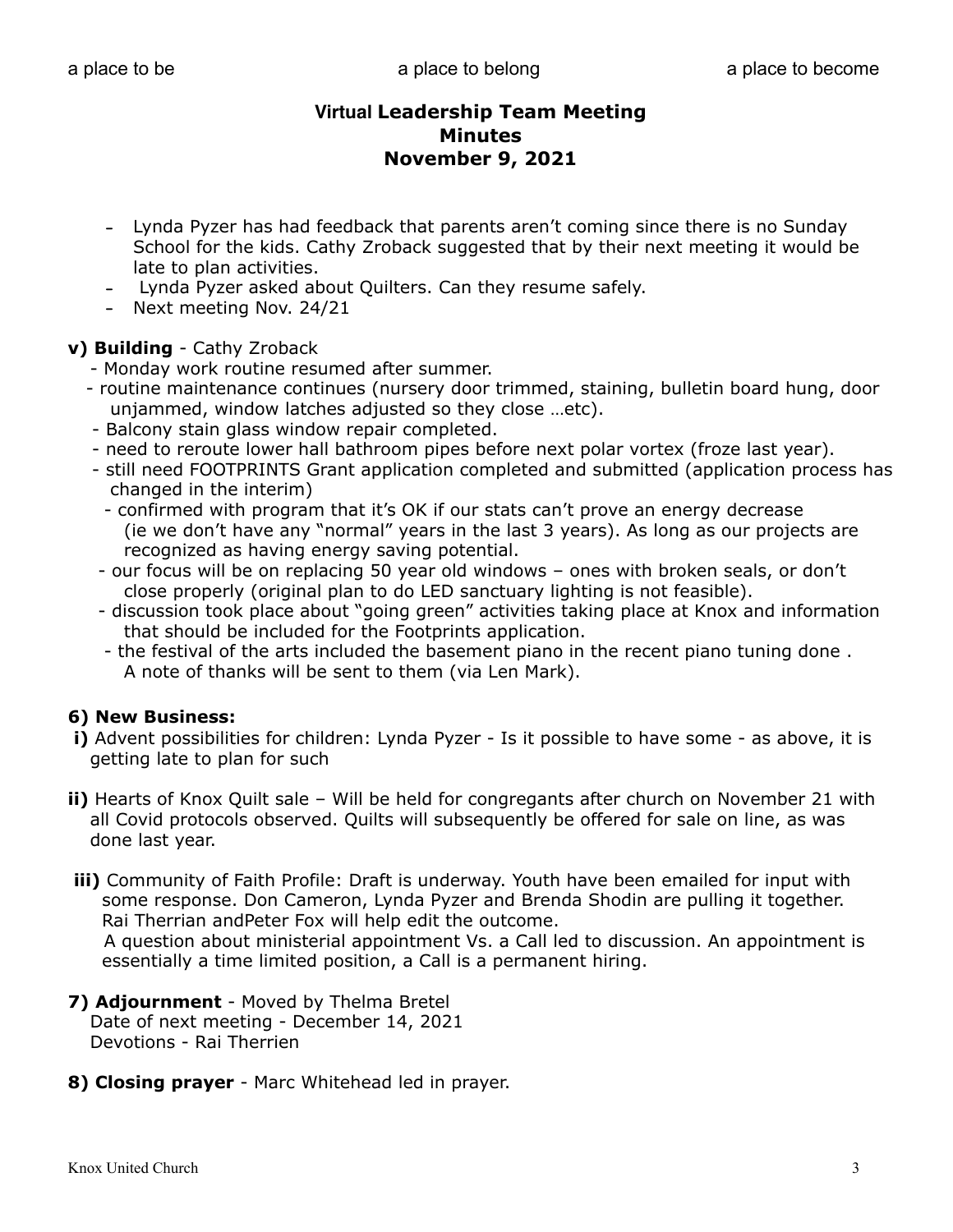- Lynda Pyzer has had feedback that parents aren't coming since there is no Sunday School for the kids. Cathy Zroback suggested that by their next meeting it would be late to plan activities.
- Lynda Pyzer asked about Quilters. Can they resume safely.
- Next meeting Nov. 24/21

## **v) Building** - Cathy Zroback

- Monday work routine resumed after summer.
- routine maintenance continues (nursery door trimmed, staining, bulletin board hung, door unjammed, window latches adjusted so they close …etc).
- Balcony stain glass window repair completed.
- need to reroute lower hall bathroom pipes before next polar vortex (froze last year).
- still need FOOTPRINTS Grant application completed and submitted (application process has changed in the interim)
	- confirmed with program that it's OK if our stats can't prove an energy decrease (ie we don't have any "normal" years in the last 3 years). As long as our projects are recognized as having energy saving potential.
- our focus will be on replacing 50 year old windows ones with broken seals, or don't close properly (original plan to do LED sanctuary lighting is not feasible).
- discussion took place about "going green" activities taking place at Knox and information that should be included for the Footprints application.
- the festival of the arts included the basement piano in the recent piano tuning done . A note of thanks will be sent to them (via Len Mark).

## **6) New Business:**

- **i)** Advent possibilities for children: Lynda Pyzer Is it possible to have some as above, it is getting late to plan for such
- **ii)** Hearts of Knox Quilt sale Will be held for congregants after church on November 21 with all Covid protocols observed. Quilts will subsequently be offered for sale on line, as was done last year.
- **iii)** Community of Faith Profile: Draft is underway. Youth have been emailed for input with some response. Don Cameron, Lynda Pyzer and Brenda Shodin are pulling it together. Rai Therrian andPeter Fox will help edit the outcome.

 A question about ministerial appointment Vs. a Call led to discussion. An appointment is essentially a time limited position, a Call is a permanent hiring.

- **7) Adjournment** Moved by Thelma Bretel Date of next meeting - December 14, 2021 Devotions - Rai Therrien
- **8) Closing prayer** Marc Whitehead led in prayer.